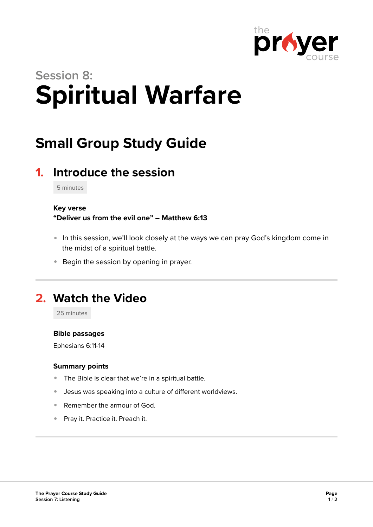

# **Session 8: Spiritual Warfare**

## **Small Group Study Guide**

## **1. Introduce the session**

5 minutes

#### **Key verse**

**"Deliver us from the evil one" – Matthew 6:13** 

- In this session, we'll look closely at the ways we can pray God's kingdom come in the midst of a spiritual battle.
- **Begin the session by opening in prayer.**

## **2. Watch the Video**

25 minutes

#### **Bible passages**

Ephesians 6:11-14

#### **Summary points**

- The Bible is clear that we're in a spiritual battle.
- Jesus was speaking into a culture of different worldviews.
- Remember the armour of God.
- **Pray it. Practice it. Preach it.**